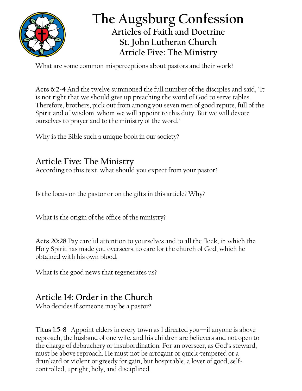

## **The Augsburg Confession Articles of Faith and Doctrine St. John Lutheran Church Article Five: The Ministry**

What are some common misperceptions about pastors and their work?

**Acts 6:2-4** And the twelve summoned the full number of the disciples and said, "It is not right that we should give up preaching the word of God to serve tables. Therefore, brothers, pick out from among you seven men of good repute, full of the Spirit and of wisdom, whom we will appoint to this duty. But we will devote ourselves to prayer and to the ministry of the word."

Why is the Bible such a unique book in our society?

## **Article Five: The Ministry**

According to this text, what should you expect from your pastor?

Is the focus on the pastor or on the gifts in this article? Why?

What is the origin of the office of the ministry?

**Acts 20:28** Pay careful attention to yourselves and to all the flock, in which the Holy Spirit has made you overseers, to care for the church of God, which he obtained with his own blood.

What is the good news that regenerates us?

## **Article 14: Order in the Church**

Who decides if someone may be a pastor?

**Titus 1:5-8** Appoint elders in every town as I directed you—if anyone is above reproach, the husband of one wife, and his children are believers and not open to the charge of debauchery or insubordination. For an overseer, as God's steward, must be above reproach. He must not be arrogant or quick-tempered or a drunkard or violent or greedy for gain, but hospitable, a lover of good, selfcontrolled, upright, holy, and disciplined.